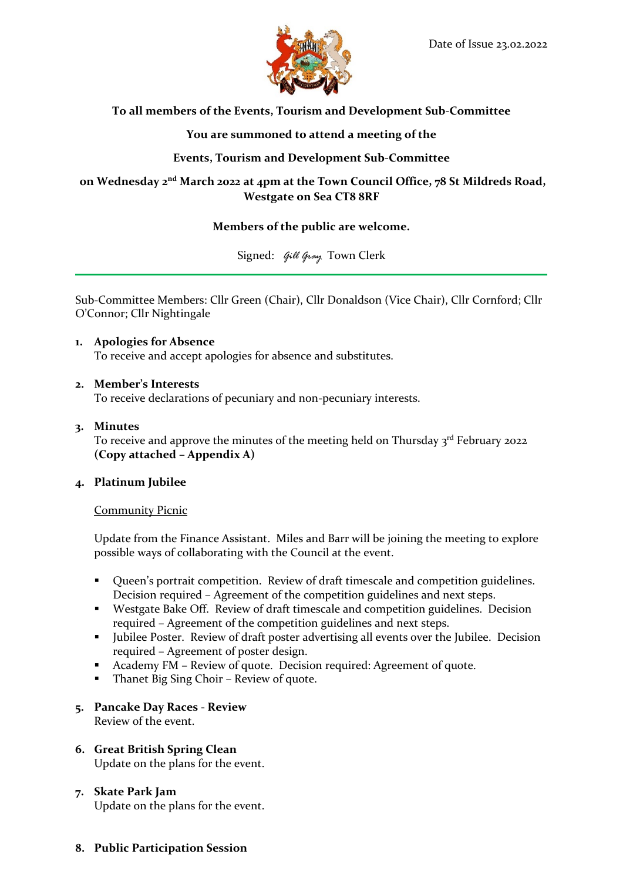

# **To all members of the Events, Tourism and Development Sub-Committee**

# **You are summoned to attend a meeting of the**

# **Events, Tourism and Development Sub-Committee**

# **on Wednesday 2nd March 2022 at 4pm at the Town Council Office, 78 St Mildreds Road, Westgate on Sea CT8 8RF**

# **Members of the public are welcome.**

Signed: *Gill Gray* Town Clerk

Sub-Committee Members: Cllr Green (Chair), Cllr Donaldson (Vice Chair), Cllr Cornford; Cllr O'Connor; Cllr Nightingale

**1. Apologies for Absence** To receive and accept apologies for absence and substitutes.

### **2. Member's Interests**

To receive declarations of pecuniary and non-pecuniary interests.

# **3. Minutes**

To receive and approve the minutes of the meeting held on Thursday 3<sup>rd</sup> February 2022 **(Copy attached – Appendix A)**

### **4. Platinum Jubilee**

#### Community Picnic

Update from the Finance Assistant. Miles and Barr will be joining the meeting to explore possible ways of collaborating with the Council at the event.

- Queen's portrait competition. Review of draft timescale and competition guidelines. Decision required – Agreement of the competition guidelines and next steps.
- Westgate Bake Off. Review of draft timescale and competition guidelines. Decision required – Agreement of the competition guidelines and next steps.
- Jubilee Poster. Review of draft poster advertising all events over the Jubilee. Decision required – Agreement of poster design.
- Academy FM Review of quote. Decision required: Agreement of quote.
- Thanet Big Sing Choir Review of quote.
- **5. Pancake Day Races - Review** Review of the event.
- **6. Great British Spring Clean** Update on the plans for the event.
- **7. Skate Park Jam** Update on the plans for the event.
- **8. Public Participation Session**